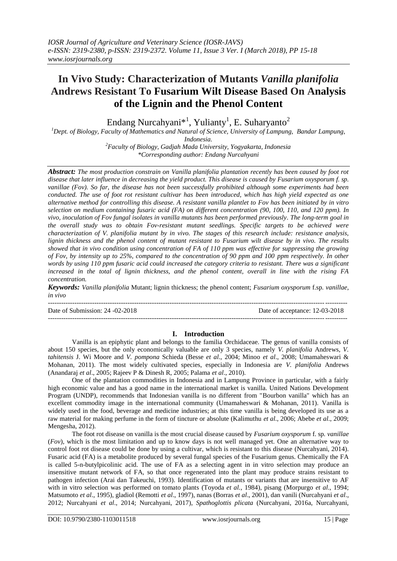# **In Vivo Study: Characterization of Mutants** *Vanilla planifolia*  **Andrews Resistant To Fusarium Wilt Disease Based On Analysis of the Lignin and the Phenol Content**

Endang Nurcahyani $*^1$ , Yulianty<sup>1</sup>, E. Suharyanto<sup>2</sup>

*<sup>1</sup>Dept. of Biology, Faculty of Mathematics and Natural of Science, University of Lampung, Bandar Lampung, Indonesia.*

> *<sup>2</sup>Faculty of Biology, Gadjah Mada University, Yogyakarta, Indonesia \*Corresponding author: Endang Nurcahyani*

*Abstract: The most production constrain on Vanilla planifolia plantation recently has been caused by foot rot disease that later influence in decreasing the yield product. This disease is caused by Fusarium oxysporum f. sp. vanillae (Fov). So far, the disease has not been successfully prohibited although some experiments had been conducted. The use of foot rot resistant cultivar has been introduced, which has high yield expected as one alternative method for controlling this disease. A resistant vanilla plantlet to Fov has been initiated by in vitro selection on medium containing fusaric acid (FA) on different concentration (90, 100, 110, and 120 ppm). In vivo, inoculation of Fov fungal isolates in vanilla mutants has been performed previously. The long-term goal in the overall study was to obtain Fov-resistant mutant seedlings. Specific targets to be achieved were characterization of V. planifolia mutant by in vivo. The stages of this research include: resistance analysis, lignin thickness and the phenol content of mutant resistant to Fusarium wilt disease by in vivo. The results showed that in vivo condition using concentration of FA of 110 ppm was effective for suppressing the growing of Fov, by intensity up to 25%, compared to the concentration of 90 ppm and 100 ppm respectively. In other words by using 110 ppm fusaric acid could increased the category criteria to resistant. There was a significant increased in the total of lignin thickness, and the phenol content, overall in line with the rising FA concentration.*

*Keywords: Vanilla planifolia* Mutant; lignin thickness; the phenol content; *Fusarium oxysporum* f.sp*. vanillae*, *in vivo*

--------------------------------------------------------------------------------------------------------------------------------------- Date of Submission: 24 -02-2018 Date of acceptance: 12-03-2018

## ---------------------------------------------------------------------------------------------------------------------------------------

## **I. Introduction**

Vanilla is an epiphytic plant and belongs to the familia Orchidaceae. The genus of vanilla consists of about 150 species, but the only economically valuable are only 3 species, namely *V. planifolia* Andrews, *V. tahitensis* J. Wi Moore and *V. pompona* Schieda (Besse *et al*., 2004; Minoo *et al*., 2008; Umamaheswari & Mohanan, 2011). The most widely cultivated species, especially in Indonesia are *V. planifolia* Andrews (Anandaraj *et al*., 2005; Rajeev P & Dinesh R, 2005; Palama *et al*., 2010).

One of the plantation commodities in Indonesia and in Lampung Province in particular, with a fairly high economic value and has a good name in the international market is vanilla. United Nations Development Program (UNDP), recommends that Indonesian vanilla is no different from "Bourbon vanilla" which has an excellent commodity image in the international community (Umamaheswari & Mohanan, 2011). Vanilla is widely used in the food, beverage and medicine industries; at this time vanilla is being developed its use as a raw material for making perfume in the form of tincture or absolute (Kalimuthu *et al*., 2006; Abebe *et al*., 2009; Mengesha, 2012).

The foot rot disease on vanilla is the most crucial disease caused by *Fusarium oxysporum* f. sp*. vanillae*  (*Fov*), which is the most limitation and up to know days is not well managed yet. One an alternative way to control foot rot disease could be done by using a cultivar, which is resistant to this disease (Nurcahyani, 2014). Fusaric acid (FA) is a metabolite produced by several fungal species of the Fusarium genus. Chemically the FA is called 5-n-butylpicolinic acid. The use of FA as a selecting agent in in vitro selection may produce an insensitive mutant network of FA, so that once regenerated into the plant may produce strains resistant to pathogen infection (Arai dan Takeuchi, 1993). Identification of mutants or variants that are insensitive to AF with in vitro selection was performed on tomato plants (Toyoda *et al.,* 1984), pisang (Morpurgo *et al*., 1994; Matsumoto *et al*., 1995), gladiol (Remotti *et al*., 1997), nanas (Borras *et al*., 2001), dan vanili (Nurcahyani *et al*., 2012; Nurcahyani *et al*., 2014; Nurcahyani, 2017), *Spathoglottis plicata* (Nurcahyani, 2016a, Nurcahyani,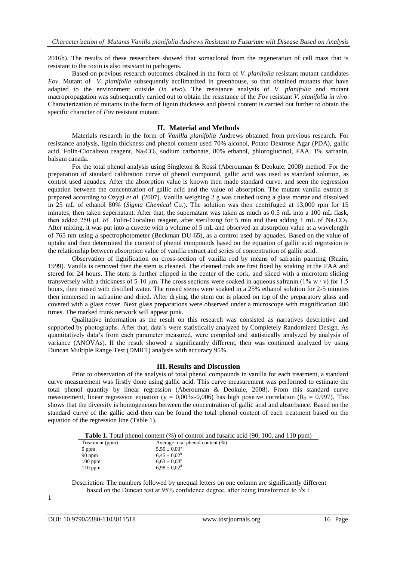2016b). The results of these researchers showed that somaclonal from the regeneration of cell mass that is resistant to the toxin is also resistant to pathogens.

Based on previous research outcomes obtained in the form of *V. planifolia* resistant mutant candidates *Fov*. Mutant of *V. planifolia* subsequently acclimatized in greenhouse, so that obtained mutants that have adapted to the environment outside (*in vivo*). The resistance analysis of *V. planifolia* and mutant macropropagation was subsequently carried out to obtain the resistance of the *Fov* resistant *V. planifolia in vivo*. Characterization of mutants in the form of lignin thickness and phenol content is carried out further to obtain the specific character of *Fov* resistant mutant.

### **II. Material and Methods**

Materials research in the form of *Vanilla planifolia* Andrews obtained from previous research. For resistance analysis, lignin thickness and phenol content used 70% alcohol, Potato Dextrose Agar (PDA), gallic acid, Folin-Ciocalteau reagent, Na<sub>2</sub>CO<sub>3</sub> sodium carbonate, 80% ethanol, phloroglucinol, FAA, 1% safranin, balsam canada.

For the total phenol analysis using Singleton & Rossi (Aberouman & Deokule, 2008) method. For the preparation of standard calibration curve of phenol compound, gallic acid was used as standard solution, as control used aquades. After the absorption value is known then made standard curve, and seen the regression equation between the concentration of gallic acid and the value of absorption. The mutant vanilla extract is prepared according to Ozygi *et al.* (2007). Vanilla weighing 2 g was crushed using a glass mortar and dissolved in 25 mL of ethanol 80% (*Sigma Chemical* Co.). The solution was then centrifuged at 13,000 rpm for 15 minutes, then taken supernatant. After that, the supernatant was taken as much as 0.5 mL into a 100 mL flask, then added 250 μL of Folin-Ciocalteu reagent, after sterilizing for 5 min and then adding 1 mL of Na<sub>2</sub>CO<sub>3</sub>. After mixing, it was put into a cuvette with a volume of 5 mL and observed an absorption value at a wavelength of 765 nm using a spectrophotometer (Beckman DU-65), as a control used by aquades. Based on the value of uptake and then determined the content of phenol compounds based on the equation of gallic acid regression is the relationship between absorption value of vanilla extract and series of concentration of gallic acid.

Observation of lignification on cross-section of vanilla rod by means of safranin painting (Ruzin, 1999). Vanilla is removed then the stem is cleaned. The cleaned rods are first fixed by soaking in the FAA and stored for 24 hours. The stem is further clipped in the center of the cork, and sliced with a microtom sliding transversely with a thickness of 5-10  $\mu$ m. The cross sections were soaked in aqueous safranin (1% w / v) for 1.5 hours, then rinsed with distilled water. The rinsed stems were soaked in a 25% ethanol solution for 2-5 minutes then immersed in safranine and dried. After drying, the stem cut is placed on top of the preparatory glass and covered with a glass cover. Next glass preparations were observed under a microscope with magnification 400 times. The marked trunk network will appear pink.

Qualitative information as the result on this research was consisted as narratives descriptive and supported by photographs. After that, data's were statistically analyzed by Completely Randomized Design. As quantitatively data"s from each parameter measured, were compiled and statistically analyzed by analysis of variance (ANOVAs). If the result showed a significantly different, then was continued analyzed by using Duncan Multiple Range Test (DMRT) analysis with accuracy 95%.

### **III. Results and Discussion**

Prior to observation of the analysis of total phenol compounds in vanilla for each treatment, a standard curve measurement was firstly done using gallic acid. This curve measurement was performed to estimate the total phenol quantity by linear regression (Aberouman & Deokule, 2008). From this standard curve measurement, linear regression equation (y = 0,003x-0,006) has high positive correlation (R<sub>2</sub> = 0.997). This shows that the diversity is homogeneous between the concentration of gallic acid and absorbance. Based on the standard curve of the gallic acid then can be found the total phenol content of each treatment based on the equation of the regression line (Table 1).

**Table 1.** Total phenol content (%) of control and fusaric acid (90, 100, and 110 ppm)

| Treatment (ppm) | Average total phenol content (%) |
|-----------------|----------------------------------|
| $0$ ppm         | $5.50 \pm 0.03^{\text{a}}$       |
| $90$ ppm        | $6.45 \pm 0.02^b$                |
| $100$ ppm       | $6.63 \pm 0.03^{\circ}$          |
| $110$ ppm       | $6.98 \pm 0.02$ <sup>d</sup>     |

Description: The numbers followed by unequal letters on one column are significantly different based on the Duncan test at 95% confidence degree, after being transformed to  $\sqrt{x}$  +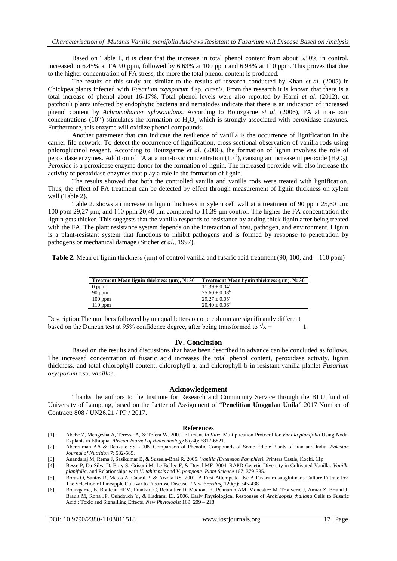Based on Table 1, it is clear that the increase in total phenol content from about 5.50% in control, increased to 6.45% at FA 90 ppm, followed by 6.63% at 100 ppm and 6.98% at 110 ppm. This proves that due to the higher concentration of FA stress, the more the total phenol content is produced.

The results of this study are similar to the results of research conducted by Khan *et al*. (2005) in Chickpea plants infected with *Fusarium oxysporum* f.sp. *ciceris*. From the research it is known that there is a total increase of phenol about 16-17%. Total phenol levels were also reported by Harni *et al*. (2012), on patchouli plants infected by endophytic bacteria and nematodes indicate that there is an indication of increased phenol content by *Achromobacter xylosoxidans*. According to Bouizgarne *et al*. (2006), FA at non-toxic concentrations (10<sup>-7</sup>) stimulates the formation of  $H_2O_2$  which is strongly associated with peroxidase enzymes. Furthermore, this enzyme will oxidize phenol compounds.

Another parameter that can indicate the resilience of vanilla is the occurrence of lignification in the carrier file network. To detect the occurrence of lignification, cross sectional observation of vanilla rods using phloroglucinol reagent. According to Bouizgarne *et al.* (2006), the formation of lignin involves the role of peroxidase enzymes. Addition of FA at a non-toxic concentration (10<sup>-7</sup>), causing an increase in peroxide (H<sub>2</sub>O<sub>2</sub>). Peroxide is a peroxidase enzyme donor for the formation of lignin. The increased peroxide will also increase the activity of peroxidase enzymes that play a role in the formation of lignin.

The results showed that both the controlled vanilla and vanilla rods were treated with lignification. Thus, the effect of FA treatment can be detected by effect through measurement of lignin thickness on xylem wall (Table 2).

Table 2. shows an increase in lignin thickness in xylem cell wall at a treatment of 90 ppm 25,60 μm; 100 ppm 29,27 μm; and 110 ppm 20,40 μm compared to 11,39 μm control. The higher the FA concentration the lignin gets thicker. This suggests that the vanilla responds to resistance by adding thick lignin after being treated with the FA. The plant resistance system depends on the interaction of host, pathogen, and environment. Lignin is a plant-resistant system that functions to inhibit pathogens and is formed by response to penetration by pathogens or mechanical damage (Sticher *et al*., 1997).

**Table 2.** Mean of lignin thickness (μm) of control vanilla and fusaric acid treatment (90, 100, and 110 ppm)

| Treatment Mean lignin thickness (µm), N: 30 | Treatment Mean lignin thickness (µm), N: 30 |
|---------------------------------------------|---------------------------------------------|
| $0$ ppm                                     | $11,39 \pm 0.04^{\circ}$                    |
| $90$ ppm                                    | $25.60 \pm 0.08^{\rm b}$                    |
| $100$ ppm                                   | $29.27 \pm 0.05^{\circ}$                    |
| $110$ ppm                                   | $20.40 \pm 0.06^{\rm d}$                    |
|                                             |                                             |

Description:The numbers followed by unequal letters on one column are significantly different based on the Duncan test at 95% confidence degree, after being transformed to  $\sqrt{x}$  + 1

#### **IV. Conclusion**

Based on the results and discussions that have been described in advance can be concluded as follows. The increased concentration of fusaric acid increases the total phenol content, peroxidase activity, lignin thickness, and total chlorophyll content, chlorophyll a, and chlorophyll b in resistant vanilla planlet *Fusarium oxysporum* f.sp. *vanillae*.

#### **Acknowledgement**

Thanks the authors to the Institute for Research and Community Service through the BLU fund of University of Lampung, based on the Letter of Assignment of "**Penelitian Unggulan Unila**" 2017 Number of Contract: 808 / UN26.21 / PP / 2017.

#### **References**

- [1]. Abebe Z, Mengesha A, Teressa A, & Tefera W. 2009. Efficient *In Vitro* Multiplication Protocol for *Vanilla planifolia* Using Nodal Explants in Ethiopia. *African Journal of Biotechnology* 8 (24): 6817-6821.
- [2]. Aberouman AA & Deokule SS. 2008. Comparison of Phenolic Compounds of Some Edible Plants of Iran and India. *Pakistan Journal of Nutrition* 7: 582-585.
- [3]. Anandaraj M, Rema J, Sasikumar B, & Suseela-Bhai R. 2005. *Vanilla (Extension Pamphlet).* Printers Castle, Kochi. 11p.
- [4]. Besse P, Da Silva D, Bory S, Grisoni M, Le Bellec F, & Duval MF. 2004. RAPD Genetic Diversity in Cultivated Vanilla: *Vanilla planifolia*, and Relationships with *V. tahitensis* and *V. pompona*. *Plant Science* 167: 379-385.
- [5]. Boras O, Santos R, Matos A, Cabral P, & Arzola RS. 2001. A First Attempt to Use A Fusarium subglutinans Culture Filtrate For The Selection of Pineapple Cultivar to Fusariose Disease. *Plant Breeding* 120(5): 345-438.
- [6]. Bouizgarne, B, Bouteau HEM, Frankart C, Reboutier D, Madiona K, Pennarun AM, Monestiez M, Trouverie J, Amiar Z, Briand J, Brault M, Rona JP, Ouhdouch Y, & Hadrami EI. 2006. Early Physiological Responses of *Arabidopsis thaliana* Cells to Fusaric Acid : Toxic and Signallling Effects. *New Phytologist* 169: 209 – 218.